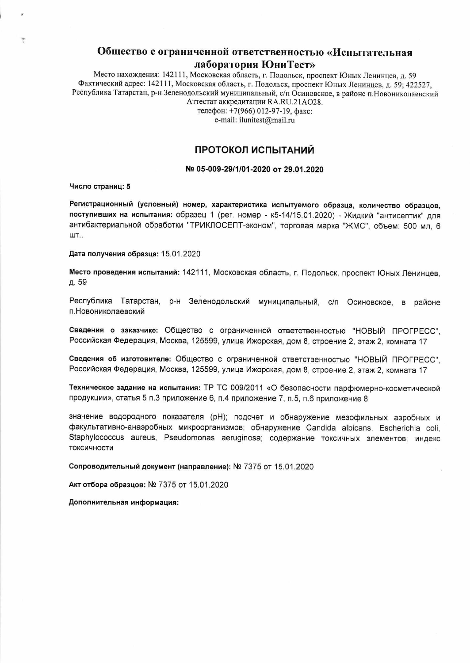## Общество с ограниченной ответственностью «Испытательная лаборатория ЮниТест»

Место нахождения: 142111, Московская область, г. Подольск, проспект Юных Ленинцев, д. 59 Фактический адрес: 142111, Московская область, г. Подольск, проспект Юных Ленинцев, д. 59; 422527, Республика Татарстан, р-н Зеленодольский муниципальный, с/п Осиновское, в районе п. Новониколаевский Аттестат аккредитации RA.RU.21AO28.

> телефон: +7(966) 012-97-19, факс: e-mail: ilunitest@mail.ru

#### ПРОТОКОЛ ИСПЫТАНИЙ

#### № 05-009-29/1/01-2020 от 29.01.2020

Число страниц: 5

÷

Регистрационный (условный) номер, характеристика испытуемого образца, количество образцов. поступивших на испытания: образец 1 (рег. номер - к5-14/15.01.2020) - Жидкий "антисептик" для антибактериальной обработки "ТРИКЛОСЕПТ-эконом", торговая марка "ЖМС", объем: 500 мл, 6 ШТ..

Дата получения образца: 15.01.2020

Место проведения испытаний: 142111, Московская область, г. Подольск, проспект Юных Ленинцев, д. 59

Республика Татарстан, р-н Зеленодольский муниципальный, с/п Осиновское, в районе п. Новониколаевский

Сведения о заказчике: Общество с ограниченной ответственностью "НОВЫЙ ПРОГРЕСС". Российская Федерация, Москва, 125599, улица Ижорская, дом 8, строение 2, этаж 2, комната 17

Сведения об изготовителе: Общество с ограниченной ответственностью "НОВЫЙ ПРОГРЕСС". Российская Федерация, Москва, 125599, улица Ижорская, дом 8, строение 2, этаж 2, комната 17

Техническое задание на испытания: ТР ТС 009/2011 «О безопасности парфюмерно-косметической продукции», статья 5 п.3 приложение 6, п.4 приложение 7, п.5, п.6 приложение 8

значение водородного показателя (pH); подсчет и обнаружение мезофильных аэробных и факультативно-анаэробных микроорганизмов; обнаружение Candida albicans, Escherichia coli, Staphylococcus aureus, Pseudomonas aeruginosa; содержание токсичных элементов; индекс токсичности

Сопроводительный документ (направление): № 7375 от 15.01.2020

Акт отбора образцов: № 7375 от 15.01.2020

Дополнительная информация: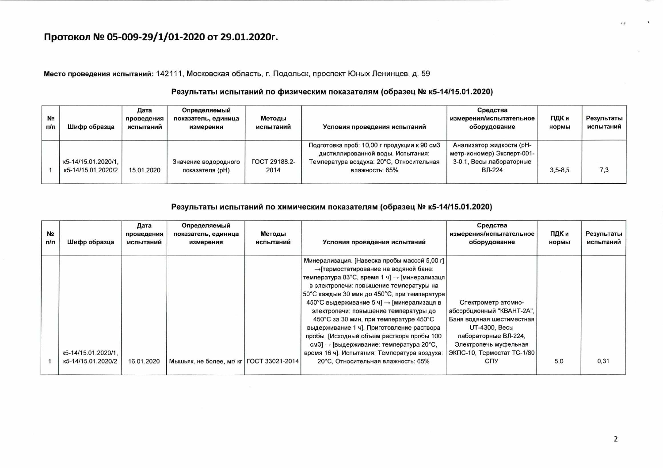# Протокол № 05-009-29/1/01-2020 от 29.01.2020г.

Место проведения испытаний: 142111, Московская область, г. Подольск, проспект Юных Ленинцев, д. 59

#### Результаты испытаний по физическим показателям (образец № к5-14/15.01.2020)

| N <sub>2</sub><br>п/п | Шифр образца                              | Дата<br>проведения<br>испытаний | Определяемый<br>показатель, единица<br>измерения | Методы<br>испытаний          | Условия проведения испытаний                                                                                                                   | Средства<br>измерения/испытательное<br>оборудование                                          | ПДК и<br>нормы | Результаты<br>испытаний |
|-----------------------|-------------------------------------------|---------------------------------|--------------------------------------------------|------------------------------|------------------------------------------------------------------------------------------------------------------------------------------------|----------------------------------------------------------------------------------------------|----------------|-------------------------|
|                       | K5-14/15.01.2020/1.<br>K5-14/15.01.2020/2 | 15.01.2020                      | Значение водородного<br>показателя (pH)          | <b>FOCT 29188.2-</b><br>2014 | Подготовка проб: 10,00 г продукции к 90 см3<br>дистиллированной воды. Испытания:<br>Температура воздуха: 20°С, Относительная<br>влажность: 65% | Анализатор жидкости (рН-<br>метр-иономер) Эксперт-001-<br>3-0.1, Весы лабораторные<br>ВЛ-224 | $3.5 - 8.5$    | 7,3                     |

#### Результаты испытаний по химическим показателям (образец № к5-14/15.01.2020)

| N <sub>2</sub><br>n/n | Шифр образца                              | Дата<br>проведения<br>испытаний | Определяемый<br>показатель, единица<br>измерения | Методы<br>испытаний | Условия проведения испытаний                                                                                                                                                                                                                                                                                                                                                                                                                                                                                                                                                                                       | Средства<br>измерения/испытательное<br>оборудование                                                                                                                                                       | ПДК и<br>нормы | Результаты<br>испытаний |
|-----------------------|-------------------------------------------|---------------------------------|--------------------------------------------------|---------------------|--------------------------------------------------------------------------------------------------------------------------------------------------------------------------------------------------------------------------------------------------------------------------------------------------------------------------------------------------------------------------------------------------------------------------------------------------------------------------------------------------------------------------------------------------------------------------------------------------------------------|-----------------------------------------------------------------------------------------------------------------------------------------------------------------------------------------------------------|----------------|-------------------------|
|                       | K5-14/15.01.2020/1.<br>K5-14/15.01.2020/2 | 16.01.2020                      | Мышьяк, не более, мг/ кг   ГОСТ 33021-2014       |                     | Минерализация. [Навеска пробы массой 5,00 г]<br>→ [термостатирование на водяной бане:<br>температура 83°С, время 1 ч] → [минерализаця]<br>в электропечи: повышение температуры на<br>50°С каждые 30 мин до 450°С, при температуре<br>450°С выдерживание 5 ч] → [минерализаця в<br>электропечи: повышение температуры до<br>450°С за 30 мин, при температуре 450°С<br>выдерживание 1 ч]. Приготовление раствора<br>пробы. [Исходный объем раствора пробы 100<br>$\text{cm}3$ ] $\rightarrow$ [выдерживание: температура 20°С,<br>время 16 ч]. Испытания: Температура воздуха:<br>20°С. Относительная влажность: 65% | Спектрометр атомно-<br>абсорбционный "КВАНТ-2А",<br>Баня водяная шестиместная<br>UT-4300, Весы<br>лабораторные ВЛ-224.<br>Электропечь муфельная<br>  ЭКПС-10, Термостат ТС-1/80  <br><b>C<sub>U</sub></b> | 5.0            | 0,31                    |

 $\mathbf{u}$ 

 $1 - \frac{3}{2}$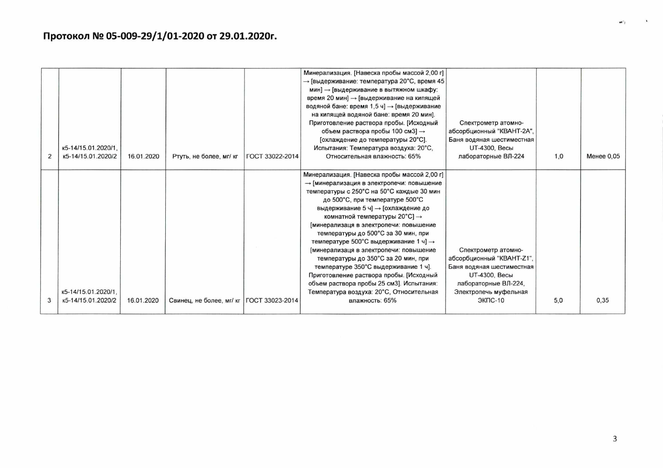|                                           |            |                                            |                        | Минерализация. [Навеска пробы массой 2,00 г]<br>→ [выдерживание: температура 20°С, время 45<br>мин] → [выдерживание в вытяжном шкафу:<br>время 20 мин] → [выдерживание на кипящей<br>водяной бане: время 1,5 ч] → [выдерживание<br>на кипящей водяной бане: время 20 мин].<br>Приготовление раствора пробы. [Исходный<br>объем раствора пробы 100 см3] $\rightarrow$<br>[охлаждение до температуры 20°С].                                                                                                                                                                                                                                                | Спектрометр атомно-<br>абсорбционный "КВАНТ-2А",<br>Баня водяная шестиместная                                                                                             |     |            |
|-------------------------------------------|------------|--------------------------------------------|------------------------|----------------------------------------------------------------------------------------------------------------------------------------------------------------------------------------------------------------------------------------------------------------------------------------------------------------------------------------------------------------------------------------------------------------------------------------------------------------------------------------------------------------------------------------------------------------------------------------------------------------------------------------------------------|---------------------------------------------------------------------------------------------------------------------------------------------------------------------------|-----|------------|
| к5-14/15.01.2020/1.<br>K5-14/15.01.2020/2 | 16.01.2020 | Ртуть, не более, мг/ кг                    | <b>FOCT 33022-2014</b> | Испытания: Температура воздуха: 20°С,<br>Относительная влажность: 65%                                                                                                                                                                                                                                                                                                                                                                                                                                                                                                                                                                                    | UT-4300, Весы<br>лабораторные ВЛ-224                                                                                                                                      | 1,0 | Менее 0.05 |
| к5-14/15.01.2020/1.<br>K5-14/15.01.2020/2 | 16.01.2020 | Свинец, не более, мг/ кг   ГОСТ 33023-2014 |                        | Минерализация. [Навеска пробы массой 2,00 г]<br>→ [минерализация в электропечи: повышение<br>температуры с 250°С на 50°С каждые 30 мин<br>до 500°С, при температуре 500°С<br>выдерживание 5 ч] → [охлаждение до<br>комнатной температуры 20°С] →<br>[минерализаця в электропечи: повышение<br>температуры до 500°С за 30 мин, при<br>температуре 500°С выдерживание 1 ч] →<br>[минерализаця в электропечи: повышение<br>температуры до 350°С за 20 мин, при<br>температуре 350°С выдерживание 1 ч].<br>Приготовление раствора пробы. [Исходный<br>объем раствора пробы 25 см3]. Испытания:<br>Температура воздуха: 20°С, Относительная<br>влажность: 65% | Спектрометр атомно-<br>абсорбционный "КВАНТ-Z1",<br>Баня водяная шестиместная<br><b>UT-4300</b> , Весы<br>лабораторные ВЛ-224,<br>Электропечь муфельная<br><b>ЭКПС-10</b> | 5.0 | 0.35       |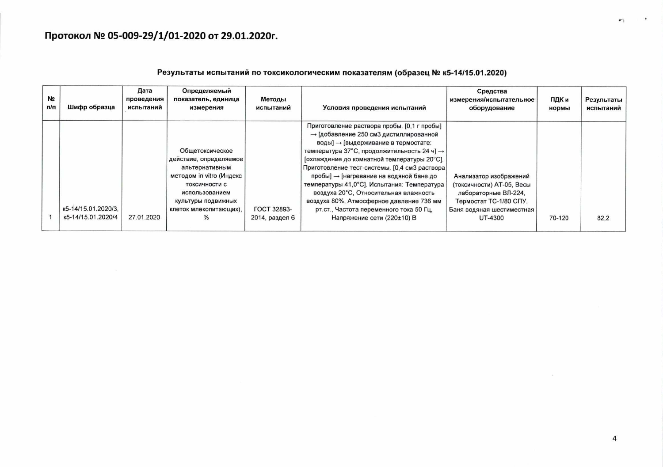### Результаты испытаний по токсикологическим показателям (образец № к5-14/15.01.2020)

| N <sub>2</sub><br>n/n | Шифр образца                              | Дата<br>проведения<br>испытаний | Определяемый<br>показатель, единица<br>измерения                                        | Методы<br>испытаний                  | Условия проведения испытаний                                                                                                                                                                        | Средства<br>измерения/испытательное<br>оборудование                         | ПДК и<br>нормы | Результаты<br>испытаний |
|-----------------------|-------------------------------------------|---------------------------------|-----------------------------------------------------------------------------------------|--------------------------------------|-----------------------------------------------------------------------------------------------------------------------------------------------------------------------------------------------------|-----------------------------------------------------------------------------|----------------|-------------------------|
|                       |                                           |                                 |                                                                                         |                                      | Приготовление раствора пробы. [0,1 г пробы]<br>→ [добавление 250 см3 дистиллированной<br>воды] → [выдерживание в термостате:                                                                        |                                                                             |                |                         |
|                       |                                           |                                 | Обшетоксическое<br>действие, определяемое<br>альтернативным<br>методом in vitro (Индекс |                                      | температура 37°С, продолжительность 24 ч] $\rightarrow$<br>[охлаждение до комнатной температуры 20°С].<br>Приготовление тест-системы. [0,4 см3 раствора]<br>пробы] - [нагревание на водяной бане до | Анализатор изображений                                                      |                |                         |
|                       |                                           |                                 | токсичности с<br>использованием<br>культуры подвижных                                   |                                      | температуры 41,0°С]. Испытания: Температура<br>воздуха 20°С, Относительная влажность<br>воздуха 80%, Атмосферное давление 736 мм                                                                    | (токсичности) АТ-05, Весы<br>лабораторные ВЛ-224,<br>Термостат ТС-1/80 СПУ, |                |                         |
|                       | K5-14/15.01.2020/3.<br>K5-14/15.01.2020/4 | 27.01.2020                      | клеток млекопитающих).<br>$\%$                                                          | <b>ГОСТ 32893-</b><br>2014, раздел 6 | рт.ст., Частота переменного тока 50 Гц,<br>Напряжение сети (220±10) В                                                                                                                               | Баня водяная шестиместная<br>UT-4300                                        | 70-120         | 82.2                    |